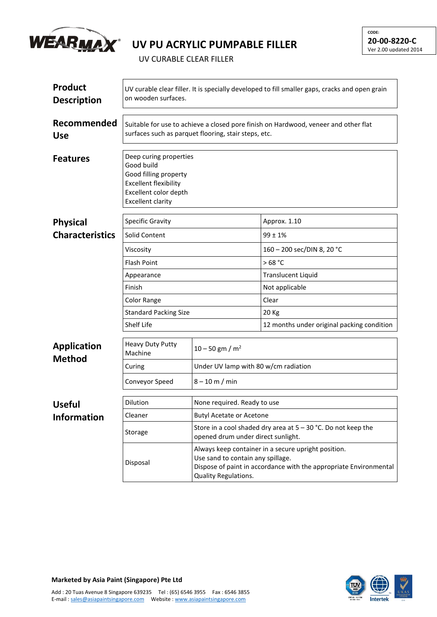

## **UV PU ACRYLIC PUMPABLE FILLER**

UV CURABLE CLEAR FILLER

| <b>Product</b><br><b>Description</b> | UV curable clear filler. It is specially developed to fill smaller gaps, cracks and open grain<br>on wooden surfaces.                              |                                                                                                                                                                                       |                                            |  |  |
|--------------------------------------|----------------------------------------------------------------------------------------------------------------------------------------------------|---------------------------------------------------------------------------------------------------------------------------------------------------------------------------------------|--------------------------------------------|--|--|
| Recommended<br><b>Use</b>            | Suitable for use to achieve a closed pore finish on Hardwood, veneer and other flat<br>surfaces such as parquet flooring, stair steps, etc.        |                                                                                                                                                                                       |                                            |  |  |
| <b>Features</b>                      | Deep curing properties<br>Good build<br>Good filling property<br><b>Excellent flexibility</b><br>Excellent color depth<br><b>Excellent clarity</b> |                                                                                                                                                                                       |                                            |  |  |
| <b>Physical</b>                      | <b>Specific Gravity</b>                                                                                                                            |                                                                                                                                                                                       | Approx. 1.10                               |  |  |
| <b>Characteristics</b>               | Solid Content                                                                                                                                      |                                                                                                                                                                                       | $99 \pm 1\%$                               |  |  |
|                                      | Viscosity                                                                                                                                          |                                                                                                                                                                                       | 160 - 200 sec/DIN 8, 20 °C                 |  |  |
|                                      | <b>Flash Point</b>                                                                                                                                 |                                                                                                                                                                                       | >68 °C                                     |  |  |
|                                      | Appearance<br>Finish<br>Color Range<br><b>Standard Packing Size</b><br>Shelf Life                                                                  |                                                                                                                                                                                       | <b>Translucent Liquid</b>                  |  |  |
|                                      |                                                                                                                                                    |                                                                                                                                                                                       | Not applicable                             |  |  |
|                                      |                                                                                                                                                    |                                                                                                                                                                                       | Clear                                      |  |  |
|                                      |                                                                                                                                                    |                                                                                                                                                                                       | 20 Kg                                      |  |  |
|                                      |                                                                                                                                                    |                                                                                                                                                                                       | 12 months under original packing condition |  |  |
| <b>Application</b><br><b>Method</b>  | <b>Heavy Duty Putty</b><br>Machine                                                                                                                 | $10 - 50$ gm / m <sup>2</sup>                                                                                                                                                         |                                            |  |  |
|                                      | Curing                                                                                                                                             | Under UV lamp with 80 w/cm radiation                                                                                                                                                  |                                            |  |  |
|                                      | Conveyor Speed                                                                                                                                     | $8 - 10$ m / min                                                                                                                                                                      |                                            |  |  |
| <b>Useful</b>                        | Dilution                                                                                                                                           | None required. Ready to use                                                                                                                                                           |                                            |  |  |
| <b>Information</b>                   | Cleaner                                                                                                                                            | <b>Butyl Acetate or Acetone</b>                                                                                                                                                       |                                            |  |  |
|                                      | Storage                                                                                                                                            | Store in a cool shaded dry area at $5 - 30$ °C. Do not keep the<br>opened drum under direct sunlight.                                                                                 |                                            |  |  |
|                                      | Disposal                                                                                                                                           | Always keep container in a secure upright position.<br>Use sand to contain any spillage.<br>Dispose of paint in accordance with the appropriate Environmental<br>Quality Regulations. |                                            |  |  |